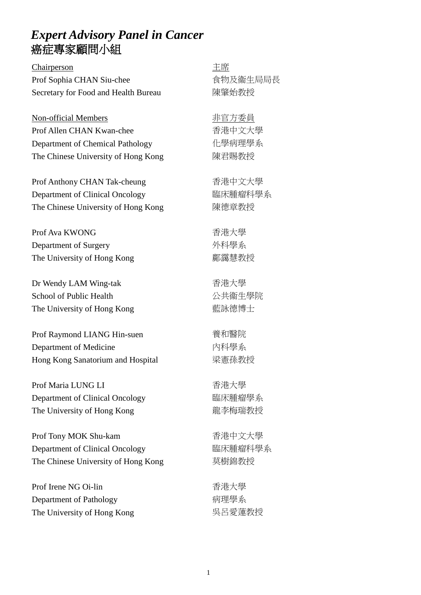#### *Expert Advisory Panel in Cancer* 癌症專家顧問小組

Chairperson 主席 Prof Sophia CHAN Siu-chee Secretary for Food and Health Bureau

Non-official Members 非官方委員 Prof Allen CHAN Kwan-chee Department of Chemical Pathology The Chinese University of Hong Kong

Prof Anthony CHAN Tak-cheung Department of Clinical Oncology The Chinese University of Hong Kong

Prof Ava KWONG Department of Surgery The University of Hong Kong

Dr Wendy LAM Wing-tak School of Public Health The University of Hong Kong

Prof Raymond LIANG Hin-suen Department of Medicine Hong Kong Sanatorium and Hospital

Prof Maria LUNG LI Department of Clinical Oncology The University of Hong Kong

Prof Tony MOK Shu-kam Department of Clinical Oncology The Chinese University of Hong Kong

Prof Irene NG Oi-lin Department of Pathology The University of Hong Kong 食物及衞生局局長 陳肇始教授

香港中文大學 化學病理學系 陳君賜教授

香港中文大學 臨床腫瘤科學系 陳德章教授

香港大學 外科學系 鄺靄慧教授

香港大學 公共衞生學院 藍詠德博士

養和醫院 內科學系 梁憲孫教授

香港大學 臨床腫瘤學系 龍李梅瑞教授

香港中文大學 臨床腫瘤科學系 莫樹錦教授

香港大學 病理學系 吳呂愛蓮教授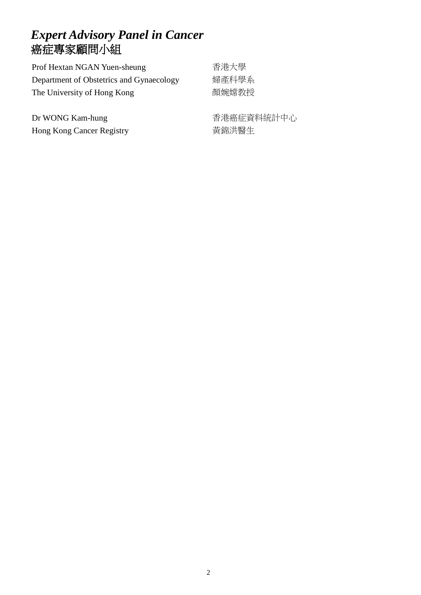## *Expert Advisory Panel in Cancer* 癌症專家顧問小組

| Prof Hextan NGAN Yuen-sheung             | 香港大學  |
|------------------------------------------|-------|
| Department of Obstetrics and Gynaecology | 婦產科學系 |
| The University of Hong Kong              | 顏婉嫦教授 |

Dr WONG Kam-hung Hong Kong Cancer Registry 香港癌症資料統計中心 黃錦洪醫生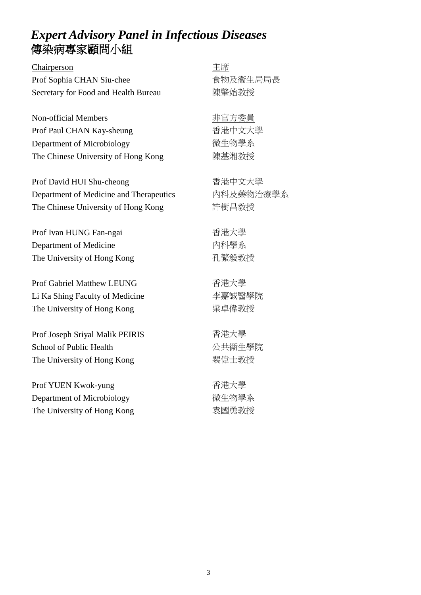### *Expert Advisory Panel in Infectious Diseases* 傳染病專家顧問小組

Chairperson 主席 Prof Sophia CHAN Siu-chee Secretary for Food and Health Bureau

Non-official Members 非官方委員 Prof Paul CHAN Kay-sheung Department of Microbiology The Chinese University of Hong Kong

Prof David HUI Shu-cheong Department of Medicine and Therapeutics The Chinese University of Hong Kong

Prof Ivan HUNG Fan-ngai Department of Medicine The University of Hong Kong

Prof Gabriel Matthew LEUNG Li Ka Shing Faculty of Medicine The University of Hong Kong

Prof Joseph Sriyal Malik PEIRIS School of Public Health The University of Hong Kong

Prof YUEN Kwok-yung Department of Microbiology The University of Hong Kong 食物及衞生局局長 陳肇始教授

香港中文大學 微生物學系 陳基湘教授

香港中文大學 內科及藥物治療學系 許樹昌教授

香港大學 內科學系 孔繁毅教授

香港大學 李嘉誠醫學院 梁卓偉教授

香港大學 公共衞生學院 裴偉士教授

香港大學 微生物學系 袁國勇教授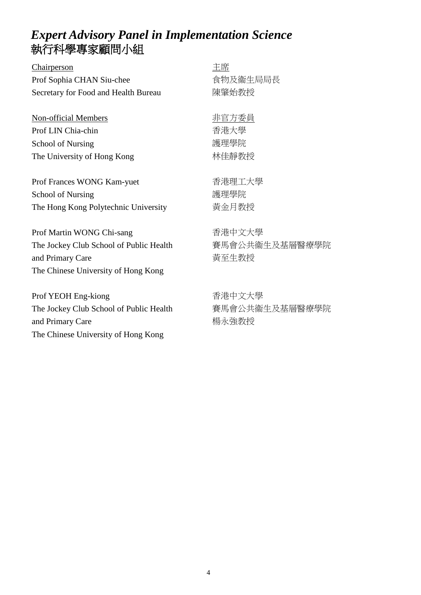# *Expert Advisory Panel in Implementation Science* 執行科學專家顧問小組

| Chairperson                             | 主席             |
|-----------------------------------------|----------------|
| Prof Sophia CHAN Siu-chee               | 食物及衞生局局長       |
| Secretary for Food and Health Bureau    | 陳肇始教授          |
|                                         |                |
| Non-official Members                    | 非官方委員          |
| Prof LIN Chia-chin                      | 香港大學           |
| <b>School of Nursing</b>                | 護理學院           |
| The University of Hong Kong             | 林佳靜教授          |
|                                         |                |
| Prof Frances WONG Kam-yuet              | 香港理工大學         |
| <b>School of Nursing</b>                | 護理學院           |
| The Hong Kong Polytechnic University    | 黃金月教授          |
|                                         |                |
| Prof Martin WONG Chi-sang               | 香港中文大學         |
| The Jockey Club School of Public Health | 賽馬會公共衞生及基層醫療學院 |
| and Primary Care                        | 黃至生教授          |
| The Chinese University of Hong Kong     |                |
|                                         |                |
| Prof YEOH Eng-kiong                     | 香港中文大學         |
| The Jockey Club School of Public Health | 賽馬會公共衞生及基層醫療學院 |

and Primary Care The Chinese University of Hong Kong

層醫療學院 楊永強教授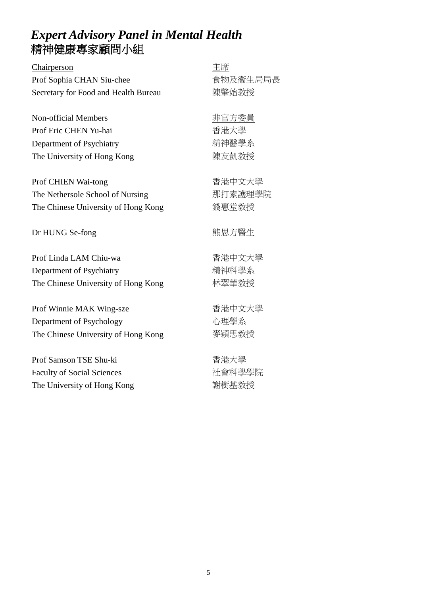### *Expert Advisory Panel in Mental Health* 精神健康專家顧問小組

| Chairperson                          | 主席       |
|--------------------------------------|----------|
| Prof Sophia CHAN Siu-chee            | 食物及衞生局局長 |
| Secretary for Food and Health Bureau | 陳肇始教授    |
|                                      |          |
| Non-official Members                 | 非官方委員    |
| Prof Eric CHEN Yu-hai                | 香港大學     |
| Department of Psychiatry             | 精神醫學系    |
| The University of Hong Kong          | 陳友凱教授    |
|                                      |          |
| Prof CHIEN Wai-tong                  | 香港中文大學   |
| The Nethersole School of Nursing     | 那打素護理學院  |
| The Chinese University of Hong Kong  | 錢惠堂教授    |
|                                      |          |
| Dr HUNG Se-fong                      | 熊思方醫生    |
| Prof Linda LAM Chiu-wa               | 香港中文大學   |
| Department of Psychiatry             | 精神科學系    |
| The Chinese University of Hong Kong  | 林翠華教授    |
|                                      |          |
| Prof Winnie MAK Wing-sze             | 香港中文大學   |
| Department of Psychology             | 心理學系     |
| The Chinese University of Hong Kong  | 麥穎思教授    |
|                                      |          |
| Prof Samson TSE Shu-ki               | 香港大學     |
| <b>Faculty of Social Sciences</b>    | 社會科學學院   |
| The University of Hong Kong          | 謝樹基教授    |